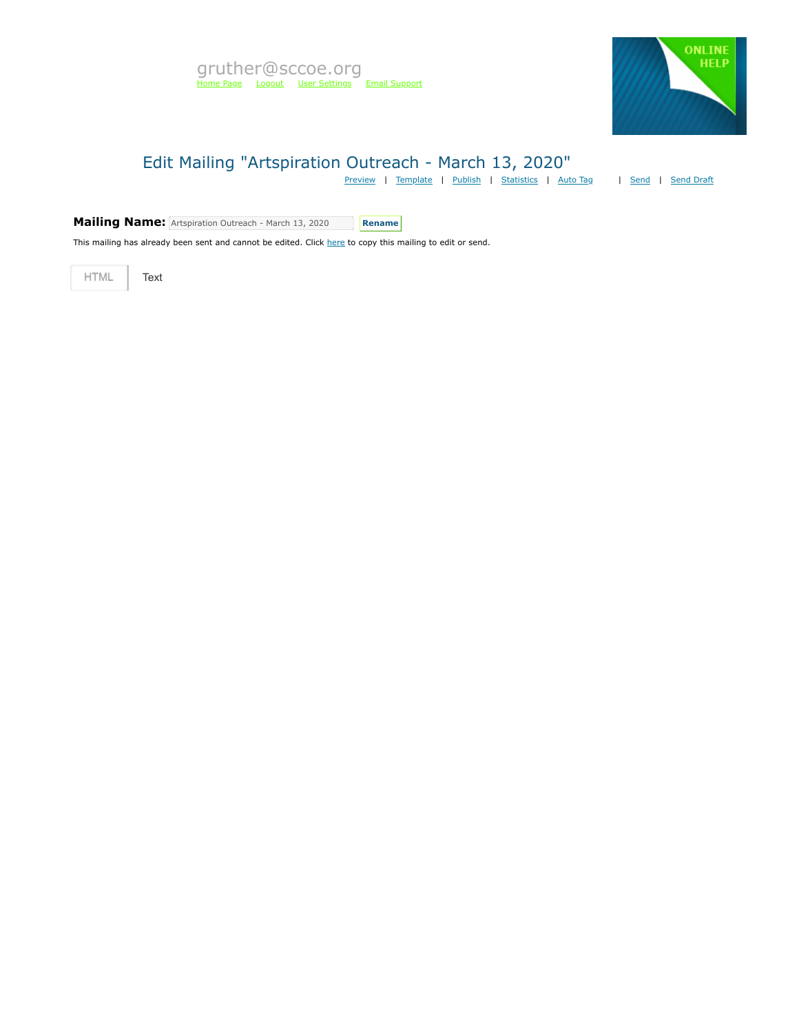

## Edit Mailing "Artspiration Outreach - March 13, 2020"

[Preview](https://mvapp.marketvolt.com/Mailing/Preview/713649) | [Template](https://mvapp.marketvolt.com/TemplatePreview.aspx?TemplateId=35366) | [Publish](https://mvapp.marketvolt.com/Mailing/Publish/713649) | [Statistics](https://mvapp.marketvolt.com/StatsMailing.aspx?MailingID=713649) | [Auto Tag](https://mvapp.marketvolt.com/AutoAssign.aspx?MailingID=713649) | [Send](https://mvapp.marketvolt.com/Mailing/Schedule/713649) | [Send Draft](https://mvapp.marketvolt.com/SendDraft.aspx?MailingID=713649)

**Mailing Name:** Artspiration Outreach - March 13, 2020 **Rename** 

This mailing has already been sent and cannot be edited. Click [here](https://mvapp.marketvolt.com/Mailing/Copy/713649) to copy this mailing to edit or send.

HTML **Text**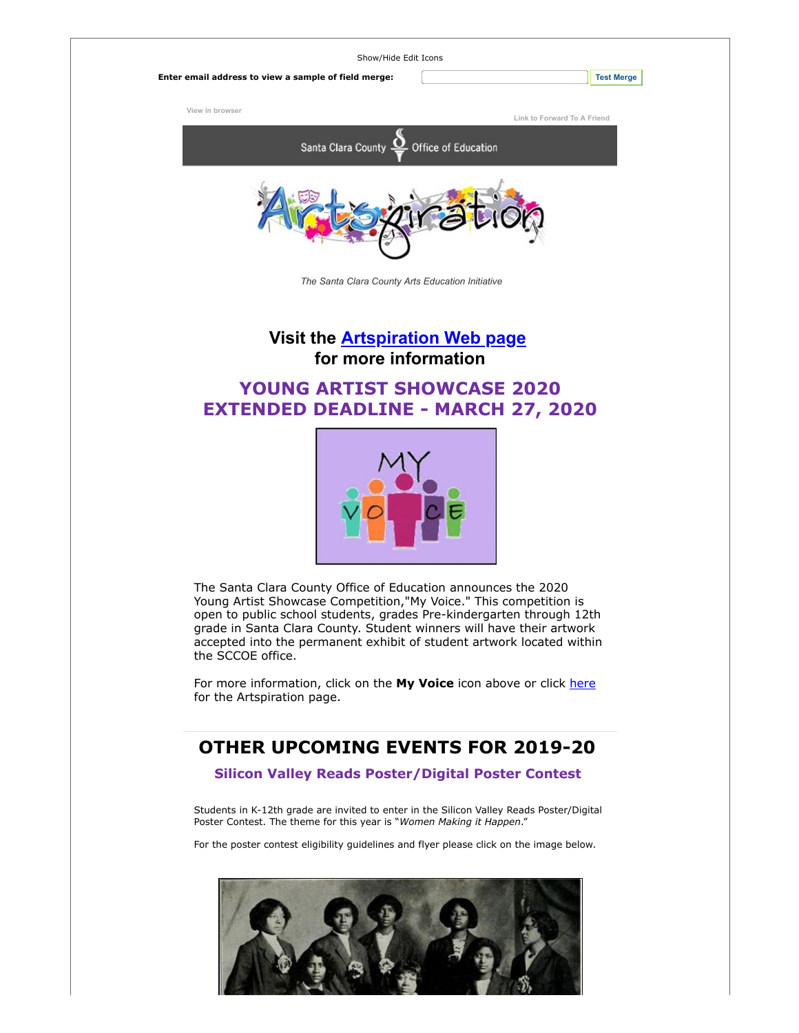| Show/Hide Edit Icons                                 |                             |
|------------------------------------------------------|-----------------------------|
| Enter email address to view a sample of field merge: | <b>Test Merge</b>           |
| View in browser                                      | Link to Forward To A Friend |
| Santa Clara County $Q$ Office of Education           |                             |
|                                                      |                             |

*The Santa Clara County Arts Education Initiative*

**Visit the [Artspiration Web page](https://custapp.marketvolt.com/link/TGSbg9iwsq?CM=0&X=PREVIEW) for more information**

### **YOUNG ARTIST SHOWCASE 2020 EXTENDED DEADLINE - MARCH 27, 2020**



The Santa Clara County Office of Education announces the 2020 Young Artist Showcase Competition,"My Voice." This competition is open to public school students, grades Pre-kindergarten through 12th grade in Santa Clara County. Student winners will have their artwork accepted into the permanent exhibit of student artwork located within the SCCOE office.

For more information, click on the My Voice icon above or click [here](https://custapp.marketvolt.com/link/fHFZq3XYTf?CM=0&X=PREVIEW) for the Artspiration page.

# **OTHER UPCOMING EVENTS FOR 2019-20**

**Silicon Valley Reads Poster/Digital Poster Contest** 

Students in K-12th grade are invited to enter in the Silicon Valley Reads Poster/Digital Poster Contest. The theme for this year is "*Women Making it Happen*."

For the poster contest eligibility guidelines and flyer please click on the image below.

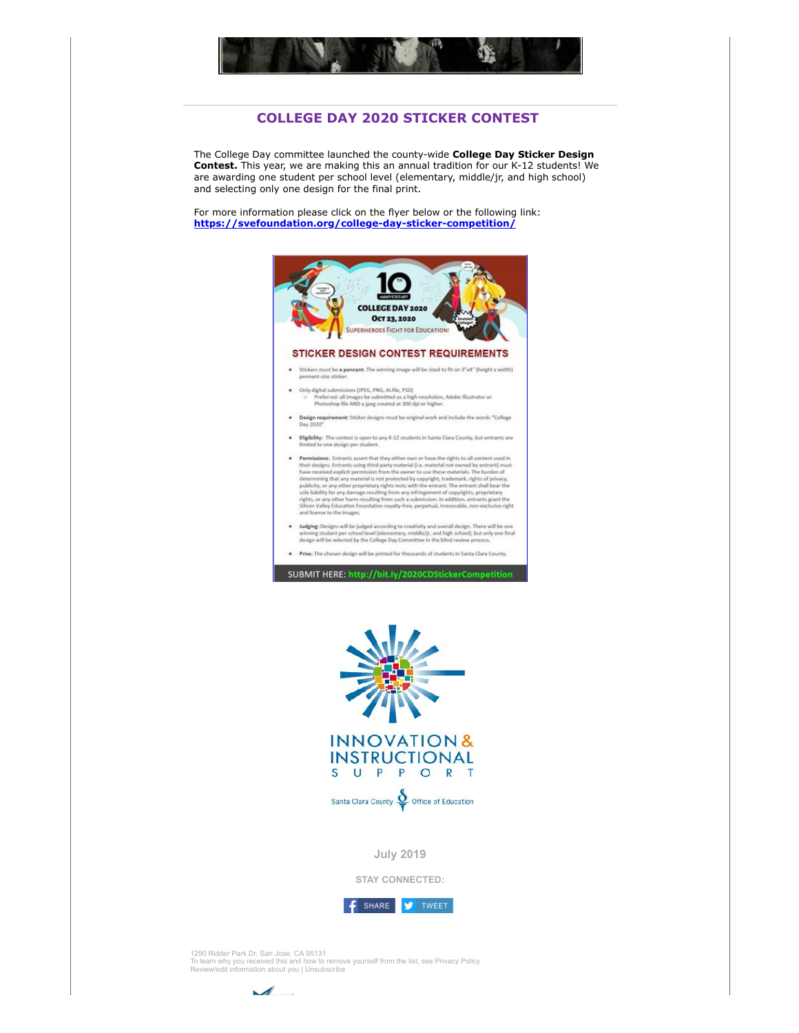

### **COLLEGE DAY 2020 STICKER CONTEST**

The College Day committee launched the county-wide **College Day Sticker Design Contest.** This year, we are making this an annual tradition for our K-12 students! We are awarding one student per school level (elementary, middle/jr, and high school) and selecting only one design for the final print.

For more information please click on the flyer below or the following link: **[https://svefoundation.org/college-day-sticker-competition/](https://custapp.marketvolt.com/link/FntzFIxmlx?CM=0&X=PREVIEW)**





**July 2019**

**STAY CONNECTED:**



1290 Ridder Park Dr, San Jose, CA 95131<br>To learn why you received this and how to remove yourself from the list, see [Privacy Policy](https://marketvolt.com/privacy-and-permissions-policy/)<br>[Review/edit information about you](https://custapp.marketvolt.com/Form/!SIGNUPFORMID!/profile?recipientId=0&x=PREVIEW&cm=0) | [Unsubscribe](https://custapp.marketvolt.com/Form/!SIGNUPFORMID!/subscription?recipientId=0&x=PREVIEW&cm=0)